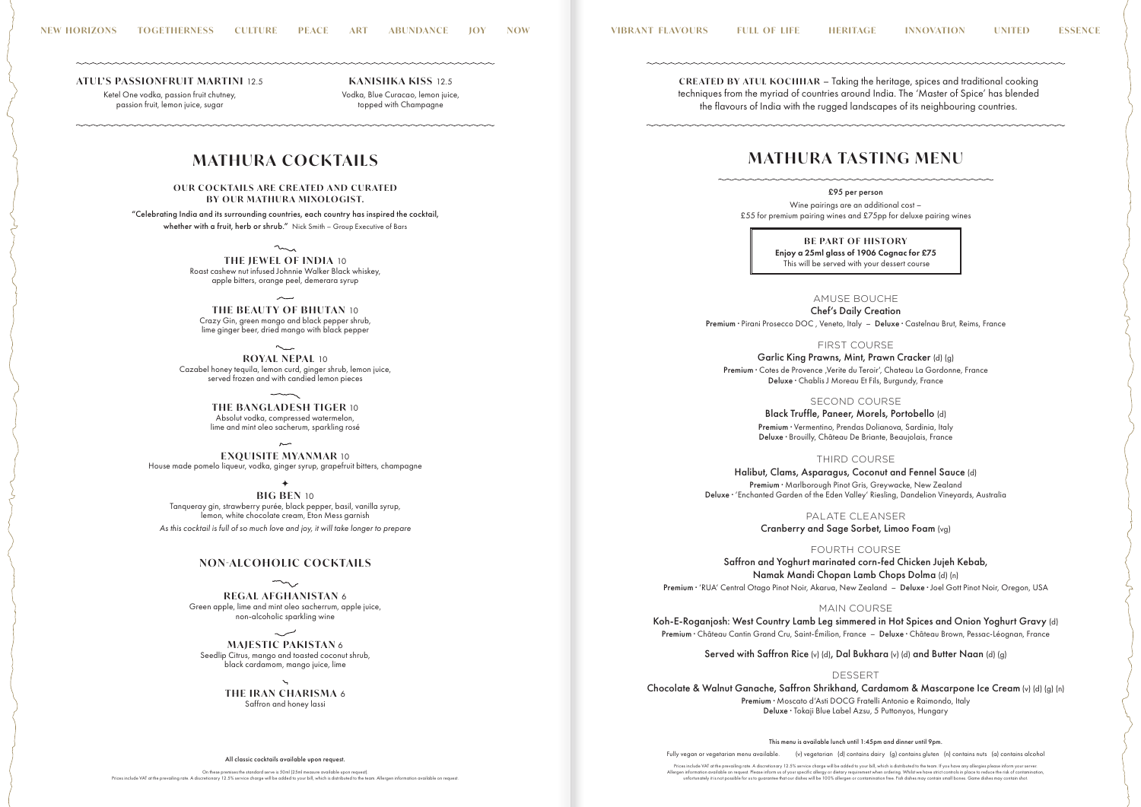£95 per person Wine pairings are an additional cost – £55 for premium pairing wines and £75pp for deluxe pairing wines

> **BE PART OF HISTORY** Enjoy a 25ml glass of 1906 Cognac for £75 This will be served with your dessert course

AMUSE BOUCHE Chef's Daily Creation Premium · Pirani Prosecco DOC , Veneto, Italy – Deluxe · Castelnau Brut, Reims, France

FIRST COURSE Garlic King Prawns, Mint, Prawn Cracker (d) (g) Premium · Cotes de Provence , Verite du Teroir', Chateau La Gordonne, France Deluxe · Chablis J Moreau Et Fils, Burgundy, France

> SECOND COURSE Black Truffle, Paneer, Morels, Portobello (d) Premium · Vermentino, Prendas Dolianova, Sardinia, Italy

Deluxe · Brouilly, Château De Briante, Beaujolais, France

THIRD COURSE Halibut, Clams, Asparagus, Coconut and Fennel Sauce (d) Premium · Marlborough Pinot Gris, Greywacke, New Zealand Deluxe · 'Enchanted Garden of the Eden Valley' Riesling, Dandelion Vineyards, Australia

> PALATE CLEANSER Cranberry and Sage Sorbet, Limoo Foam (vg)

> > FOURTH COURSE

Saffron and Yoghurt marinated corn-fed Chicken Jujeh Kebab, Namak Mandi Chopan Lamb Chops Dolma (d) (n) Premium · 'RUA' Central Otago Pinot Noir, Akarua, New Zealand – Deluxe · Joel Gott Pinot Noir, Oregon, USA

MAIN COURSE Koh-E-Roganjosh: West Country Lamb Leg simmered in Hot Spices and Onion Yoghurt Gravy (d) Premium · Château Cantin Grand Cru, Saint-Émilion, France – Deluxe · Château Brown, Pessac-Léognan, France

Served with Saffron Rice (v) (d), Dal Bukhara (v) (d) and Butter Naan (d) (g)

**OUR COCKTAILS ARE CREATED AND CURATED BY OUR MATHURA MIXOLOGIST.**

"Celebrating India and its surrounding countries, each country has inspired the cocktail, whether with a fruit, herb or shrub." Nick Smith - Group Executive of Bars

> $\sim$ **THE JEWEL OF INDIA** 10 Roast cashew nut infused Johnnie Walker Black whiskey, apple bitters, orange peel, demerara syrup

> > DESSERT Chocolate & Walnut Ganache, Saffron Shrikhand, Cardamom & Mascarpone Ice Cream (v) (d) (g) (n) Premium · Moscato d'Asti DOCG Fratelli Antonio e Raimondo, Italy Deluxe · Tokaji Blue Label Azsu, 5 Puttonyos, Hungary

### All classic cocktails available upon request.

On these premises the standard serve is 50ml (25ml measure available upon request).<br>Prices include VAT at the prevailing rate. A discretionary 12.5% service charge will be added to your bill, which is distributed to the te

✦ **BIG BEN** 10 Tanqueray gin, strawberry purée, black pepper, basil, vanilla syrup, lemon, white chocolate cream, Eton Mess garnish *As this cocktail is full of so much love and joy, it will take longer to prepare*

Fully vegan or vegetarian menu available. (v) vegetarian (d) contains dairy (g) contains gluten (n) contains nuts (a) contains alcohol

Prices include VAT at the prevailing rate. A discretionary 12.5% service charge will be added to your bill, which is distributed to the team. If you have any allergies please inform your server.<br>Allergen information availa

**ATUL'S PASSIONFRUIT MARTINI 12.5** 

# **MATHURA COCKTAILS**

**THE BEAUTY OF BHUTAN** 10 Crazy Gin, green mango and black pepper shrub, lime ginger beer, dried mango with black pepper

**ROYAL NEPAL** 10 Cazabel honey tequila, lemon curd, ginger shrub, lemon juice, served frozen and with candied lemon pieces

> **THE BANGLADESH TIGER** 10 Absolut vodka, compressed watermelon, lime and mint oleo sacherum, sparkling rosé

**EXQUISITE MYANMAR** 10 House made pomelo liqueur, vodka, ginger syrup, grapefruit bitters, champagne

## **NON-ALCOHOLIC COCKTAILS**

**REGAL AFGHANISTAN** 6 Green apple, lime and mint oleo sacherrum, apple juice, non-alcoholic sparkling wine

**MAJESTIC PAKISTAN** 6 Seedlip Citrus, mango and toasted coconut shrub, black cardamom, mango juice, lime

> **THE IRAN CHARISMA** 6 Saffron and honey lassi

> > This menu is available lunch until 1:45pm and dinner until 9pm.

Ketel One vodka, passion fruit chutney, passion fruit, lemon juice, sugar

**KANISHKA KISS** 12.5 Vodka, Blue Curacao, lemon juice, topped with Champagne

**CREATED BY ATUL KOCHHAR** – Taking the heritage, spices and traditional cooking techniques from the myriad of countries around India. The 'Master of Spice' has blended the flavours of India with the rugged landscapes of its neighbouring countries.

# **MATHURA TASTING MENU**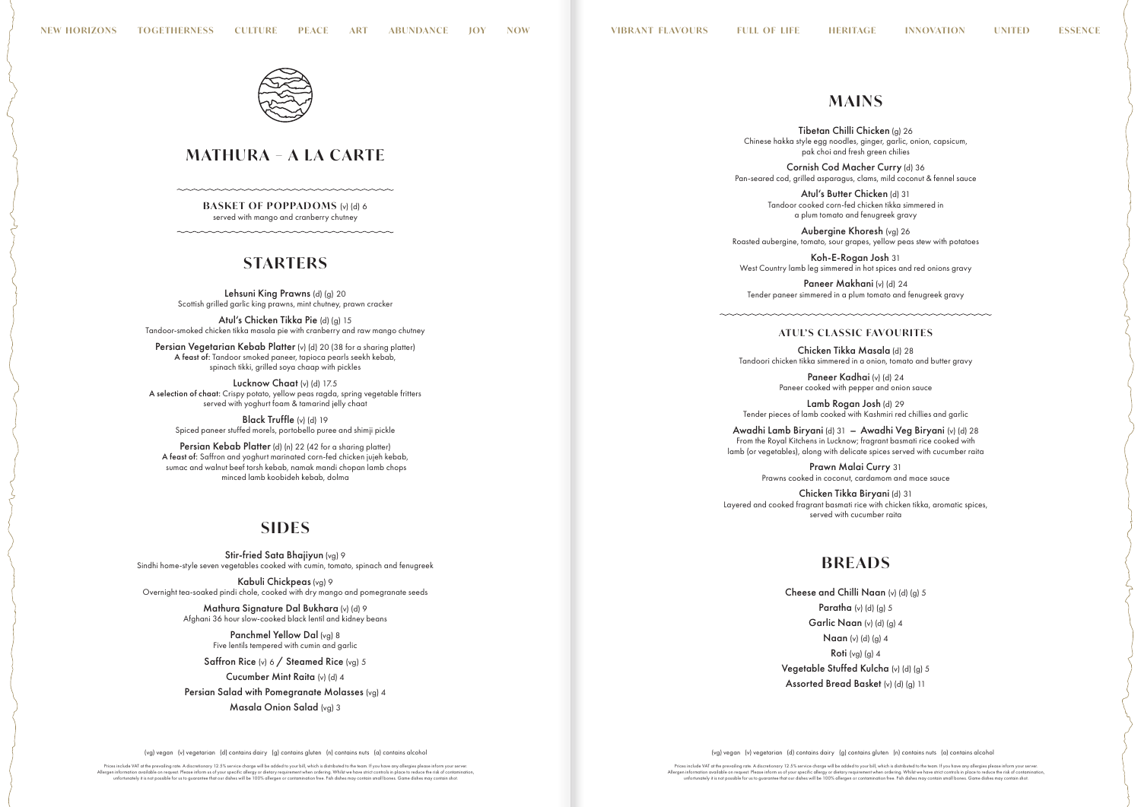(vg) vegan (v) vegetarian (d) contains dairy (g) contains gluten (n) contains nuts (a) contains alcohol (vg) vegan (v) vegetarian (d) contains dairy (g) contains gluten (n) contains nuts (a) contains alcohol

Prices include VAT at the prevailing rate. A discretionary 12.5% service charge will be added to your bill, which is distributed to the team. If you have any allergies please inform your server.<br>Allergen information availa



**BASKET OF POPPADOMS** (v) (d) 6 served with mango and cranberry chutney

# **STARTERS**

Atul's Chicken Tikka Pie (d) (a) 15 Tandoor-smoked chicken tikka masala pie with cranberry and raw mango chutney

Persian Vegetarian Kebab Platter (v) (d) 20 (38 for a sharing platter) A feast of: Tandoor smoked paneer, tapioca pearls seekh kebab, spinach tikki, grilled soya chaap with pickles

Lucknow Chaat (v) (d) 17.5 A selection of chaat: Crispy potato, yellow peas ragda, spring vegetable fritters served with yoghurt foam & tamarind jelly chaat

Black Truffle (v) (d) 19 Spiced paneer stuffed morels, portobello puree and shimji pickle

Stir-fried Sata Bhajiyun (vg) 9 Sindhi home-style seven vegetables cooked with cumin, tomato, spinach and fenugreek

Persian Kebab Platter (d) (n) 22 (42 for a sharing platter) A feast of: Saffron and yoghurt marinated corn-fed chicken jujeh kebab, sumac and walnut beef torsh kebab, namak mandi chopan lamb chops minced lamb koobideh kebab, dolma

## **SIDES**

Kabuli Chickpeas (vg) 9 Overnight tea-soaked pindi chole, cooked with dry mango and pomegranate seeds

> Mathura Signature Dal Bukhara (v) (d) 9 Afghani 36 hour slow-cooked black lentil and kidney beans

> > Panchmel Yellow Dal (vg) 8 Five lentils tempered with cumin and garlic

Saffron Rice (v) 6 / Steamed Rice (vg) 5

Cucumber Mint Raita (v) (d) 4 Persian Salad with Pomegranate Molasses (vg) 4 Masala Onion Salad (vg) 3

Prices include VAT at the prevailing rate. A discretionary 12.5% service charge will be added to your bill, which is distributed to the team. If you have any allergies please inform your server.<br>Allergen information availa

Paneer Kadhai (v) (d) 24 Paneer cooked with pepper and onion sauce

# **B R E A DS**

Cheese and Chilli Naan (v) (d) (g) 5 Paratha  $(v)$  (d) (g) 5 Garlic Naan (v) (d) (g) 4 Naan (v) (d) (g) 4 Roti  $(vg)$   $(g)$  4 Vegetable Stuffed Kulcha (v) (d) (g) 5 Assorted Bread Basket (v) (d) (g) 11

# **MATHURA – A LA CARTE**

Lehsuni King Prawns (d) (g) 20 Scottish grilled garlic king prawns, mint chutney, prawn cracker

# **M A INS**

Tibetan Chilli Chicken (g) 26 Chinese hakka style egg noodles, ginger, garlic, onion, capsicum, pak choi and fresh green chilies

Cornish Cod Macher Curry (d) 36 Pan-seared cod, grilled asparagus, clams, mild coconut & fennel sauce

> Atul's Butter Chicken (d) 31 Tandoor cooked corn-fed chicken tikka simmered in a plum tomato and fenugreek gravy

Aubergine Khoresh (vg) 26 Roasted aubergine, tomato, sour grapes, yellow peas stew with potatoes

Koh-E-Rogan Josh 31 West Country lamb leg simmered in hot spices and red onions gravy

Paneer Makhani (v) (d) 24 Tender paneer simmered in a plum tomato and fenugreek gravy

## **ATUL'S CLASSIC FAVOURITES**

Chicken Tikka Masala (d) 28 Tandoori chicken tikka simmered in a onion, tomato and butter gravy

Lamb Rogan Josh (d) 29 Tender pieces of lamb cooked with Kashmiri red chillies and garlic

Awadhi Lamb Biryani (d) 31 – Awadhi Veg Biryani (v) (d) 28 From the Royal Kitchens in Lucknow; fragrant basmati rice cooked with lamb (or vegetables), along with delicate spices served with cucumber raita

> Prawn Malai Curry 31 Prawns cooked in coconut, cardamom and mace sauce

Chicken Tikka Biryani (d) 31 Layered and cooked fragrant basmati rice with chicken tikka, aromatic spices, served with cucumber raita